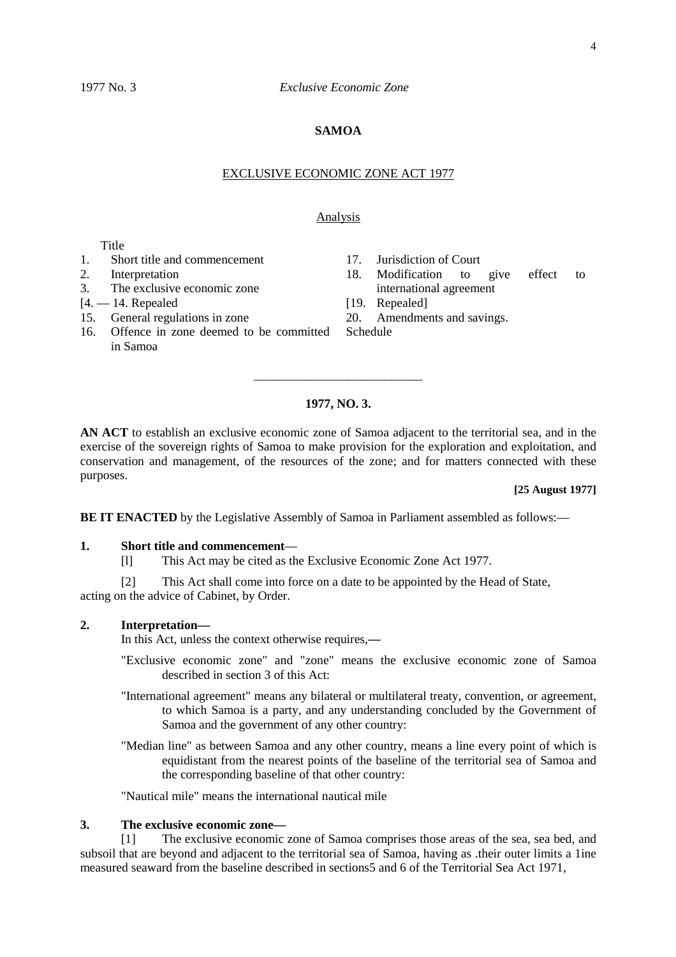### **SAMOA**

#### EXCLUSIVE ECONOMIC ZONE ACT 1977

## Analysis

Title

- 1. Short title and commencement
- 2. Interpretation
- 3. The exclusive economic zone
- $[4 14]$ . Repealed
- 15. General regulations in zone
- 16. Offence in zone deemed to be committed in Samoa
- 17. Jurisdiction of Court
- 18. Modification to give effect to international agreement
- [19. Repealed]
- 20. Amendments and savings.

Schedule

### **1977, NO. 3.**

\_\_\_\_\_\_\_\_\_\_\_\_\_\_\_\_\_\_\_\_\_\_\_\_\_\_\_

**AN ACT** to establish an exclusive economic zone of Samoa adjacent to the territorial sea, and in the exercise of the sovereign rights of Samoa to make provision for the exploration and exploitation, and conservation and management, of the resources of the zone; and for matters connected with these purposes.

#### **[25 August 1977]**

**BE IT ENACTED** by the Legislative Assembly of Samoa in Parliament assembled as follows:—

### **1. Short title and commencement**—

[l] This Act may be cited as the Exclusive Economic Zone Act 1977.

[2] This Act shall come into force on a date to be appointed by the Head of State, acting on the advice of Cabinet, by Order.

#### **2. Interpretation—**

In this Act, unless the context otherwise requires,**—**

- "Exclusive economic zone" and "zone" means the exclusive economic zone of Samoa described in section 3 of this Act:
- "International agreement" means any bilateral or multilateral treaty, convention, or agreement, to which Samoa is a party, and any understanding concluded by the Government of Samoa and the government of any other country:
- "Median line" as between Samoa and any other country, means a line every point of which is equidistant from the nearest points of the baseline of the territorial sea of Samoa and the corresponding baseline of that other country:

"Nautical mile" means the international nautical mile

# **3. The exclusive economic zone—**

[1] The exclusive economic zone of Samoa comprises those areas of the sea, sea bed, and subsoil that are beyond and adjacent to the territorial sea of Samoa, having as .their outer limits a 1ine measured seaward from the baseline described in sections5 and 6 of the Territorial Sea Act 1971,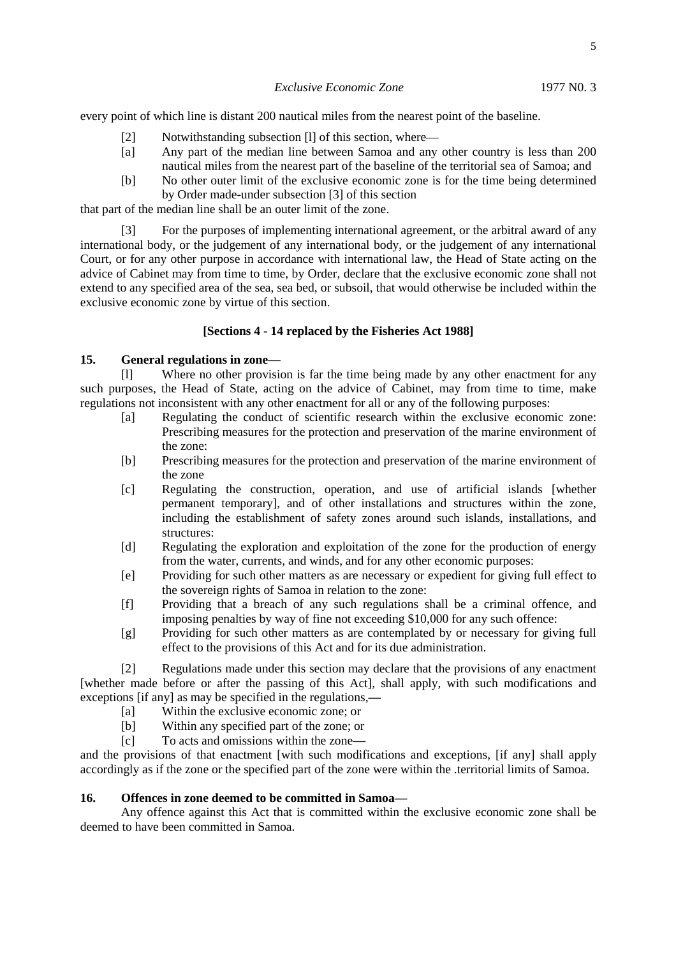every point of which line is distant 200 nautical miles from the nearest point of the baseline.

- [2] Notwithstanding subsection [1] of this section, where—
- [a] Any part of the median line between Samoa and any other country is less than 200 nautical miles from the nearest part of the baseline of the territorial sea of Samoa; and
- [b] No other outer limit of the exclusive economic zone is for the time being determined by Order made-under subsection [3] of this section

that part of the median line shall be an outer limit of the zone.

[3] For the purposes of implementing international agreement, or the arbitral award of any international body, or the judgement of any international body, or the judgement of any international Court, or for any other purpose in accordance with international law, the Head of State acting on the advice of Cabinet may from time to time, by Order, declare that the exclusive economic zone shall not extend to any specified area of the sea, sea bed, or subsoil, that would otherwise be included within the exclusive economic zone by virtue of this section.

# **[Sections 4 - 14 replaced by the Fisheries Act 1988]**

# **15. General regulations in zone—**

[l] Where no other provision is far the time being made by any other enactment for any such purposes, the Head of State, acting on the advice of Cabinet, may from time to time, make regulations not inconsistent with any other enactment for all or any of the following purposes:

- [a] Regulating the conduct of scientific research within the exclusive economic zone: Prescribing measures for the protection and preservation of the marine environment of the zone:
- [b] Prescribing measures for the protection and preservation of the marine environment of the zone
- [c] Regulating the construction, operation, and use of artificial islands [whether permanent temporary], and of other installations and structures within the zone, including the establishment of safety zones around such islands, installations, and structures:
- [d] Regulating the exploration and exploitation of the zone for the production of energy from the water, currents, and winds, and for any other economic purposes:
- [e] Providing for such other matters as are necessary or expedient for giving full effect to the sovereign rights of Samoa in relation to the zone:
- [f] Providing that a breach of any such regulations shall be a criminal offence, and imposing penalties by way of fine not exceeding \$10,000 for any such offence:
- [g] Providing for such other matters as are contemplated by or necessary for giving full effect to the provisions of this Act and for its due administration.

[2] Regulations made under this section may declare that the provisions of any enactment [whether made before or after the passing of this Act], shall apply, with such modifications and exceptions [if any] as may be specified in the regulations,**—**

- [a] Within the exclusive economic zone; or
- [b] Within any specified part of the zone; or
- [c] To acts and omissions within the zone**—**

and the provisions of that enactment [with such modifications and exceptions, [if any] shall apply accordingly as if the zone or the specified part of the zone were within the .territorial limits of Samoa.

#### **16. Offences in zone deemed to be committed in Samoa—**

Any offence against this Act that is committed within the exclusive economic zone shall be deemed to have been committed in Samoa.